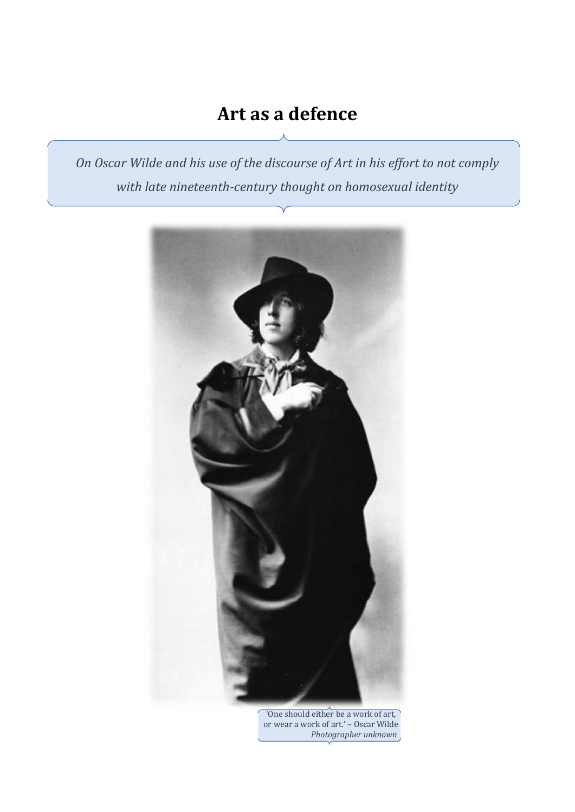# **Art as a defence**

*On Oscar Wilde and his use of the discourse of Art in his effort to not comply with late nineteenth-century thought on homosexual identity*



'One should either be a work of art, or wear a work of art.' – Oscar Wilde *Photographer unknown*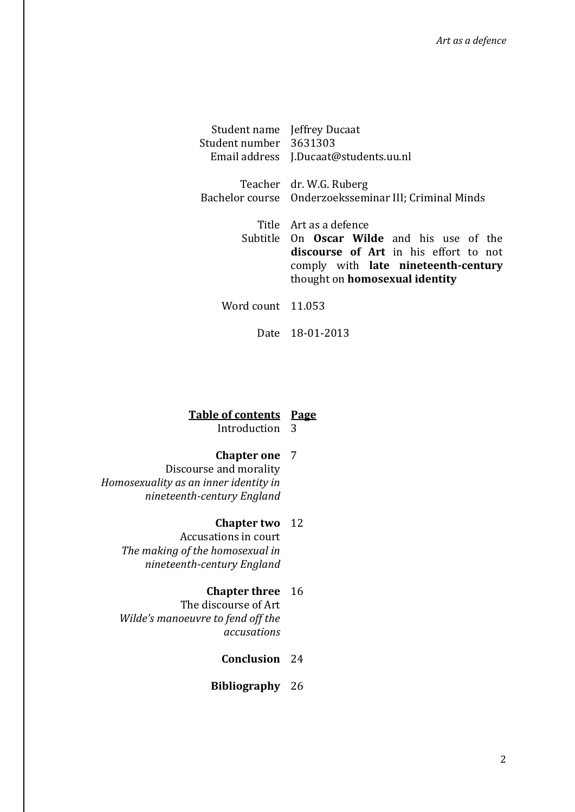|                        | Student name Jeffrey Ducaat                                                                                                                                         |
|------------------------|---------------------------------------------------------------------------------------------------------------------------------------------------------------------|
| Student number 3631303 |                                                                                                                                                                     |
|                        | Email address J.Ducaat@students.uu.nl                                                                                                                               |
|                        | Teacher dr. W.G. Ruberg                                                                                                                                             |
|                        | Bachelor course Onderzoeksseminar III; Criminal Minds                                                                                                               |
|                        | Title Art as a defence                                                                                                                                              |
|                        | Subtitle On <b>Oscar Wilde</b> and his use of the<br>discourse of Art in his effort to not<br>comply with late nineteenth-century<br>thought on homosexual identity |
| Word count 11.053      |                                                                                                                                                                     |

Date 18-01-2013

## **Table of contents Page**

Introduction 3

## **Chapter one** 7

Discourse and morality *Homosexuality as an inner identity in nineteenth-century England*

## **Chapter two** 12

Accusations in court *The making of the homosexual in nineteenth-century England*

## **Chapter three** 16

The discourse of Art *Wilde's manoeuvre to fend off the accusations* 

## **Conclusion** 24

**Bibliography** 26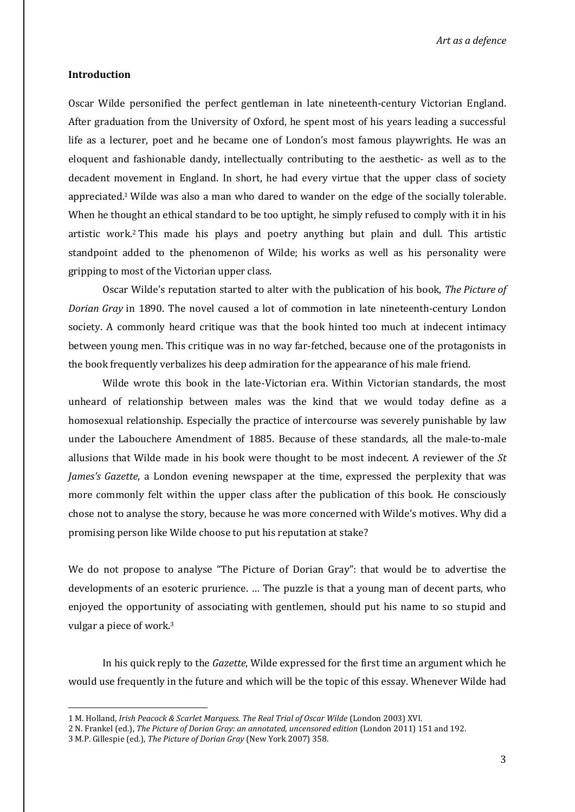*Art as a defence*

#### **Introduction**

Oscar Wilde personified the perfect gentleman in late nineteenth-century Victorian England. After graduation from the University of Oxford, he spent most of his years leading a successful life as a lecturer, poet and he became one of London's most famous playwrights. He was an eloquent and fashionable dandy, intellectually contributing to the aesthetic- as well as to the decadent movement in England. In short, he had every virtue that the upper class of society appreciated.<sup>1</sup> Wilde was also a man who dared to wander on the edge of the socially tolerable. When he thought an ethical standard to be too uptight, he simply refused to comply with it in his artistic work.<sup>2</sup> This made his plays and poetry anything but plain and dull. This artistic standpoint added to the phenomenon of Wilde; his works as well as his personality were gripping to most of the Victorian upper class.

 Oscar Wilde's reputation started to alter with the publication of his book, *The Picture of Dorian Gray* in 1890. The novel caused a lot of commotion in late nineteenth-century London society. A commonly heard critique was that the book hinted too much at indecent intimacy between young men. This critique was in no way far-fetched, because one of the protagonists in the book frequently verbalizes his deep admiration for the appearance of his male friend.

Wilde wrote this book in the late-Victorian era. Within Victorian standards, the most unheard of relationship between males was the kind that we would today define as a homosexual relationship. Especially the practice of intercourse was severely punishable by law under the Labouchere Amendment of 1885. Because of these standards, all the male-to-male allusions that Wilde made in his book were thought to be most indecent. A reviewer of the *St James's Gazette*, a London evening newspaper at the time, expressed the perplexity that was more commonly felt within the upper class after the publication of this book. He consciously chose not to analyse the story, because he was more concerned with Wilde's motives. Why did a promising person like Wilde choose to put his reputation at stake?

We do not propose to analyse "The Picture of Dorian Gray": that would be to advertise the developments of an esoteric prurience. … The puzzle is that a young man of decent parts, who enjoyed the opportunity of associating with gentlemen, should put his name to so stupid and vulgar a piece of work.<sup>3</sup>

In his quick reply to the *Gazette*, Wilde expressed for the first time an argument which he would use frequently in the future and which will be the topic of this essay. Whenever Wilde had

<sup>1</sup> M. Holland, *Irish Peacock & Scarlet Marquess. The Real Trial of Oscar Wilde* (London 2003) XVI.

<sup>2</sup> N. Frankel (ed.), *The Picture of Dorian Gray: an annotated, uncensored edition* (London 2011) 151 and 192.

<sup>3</sup> M.P. Gillespie (ed.), *The Picture of Dorian Gray* (New York 2007) 358.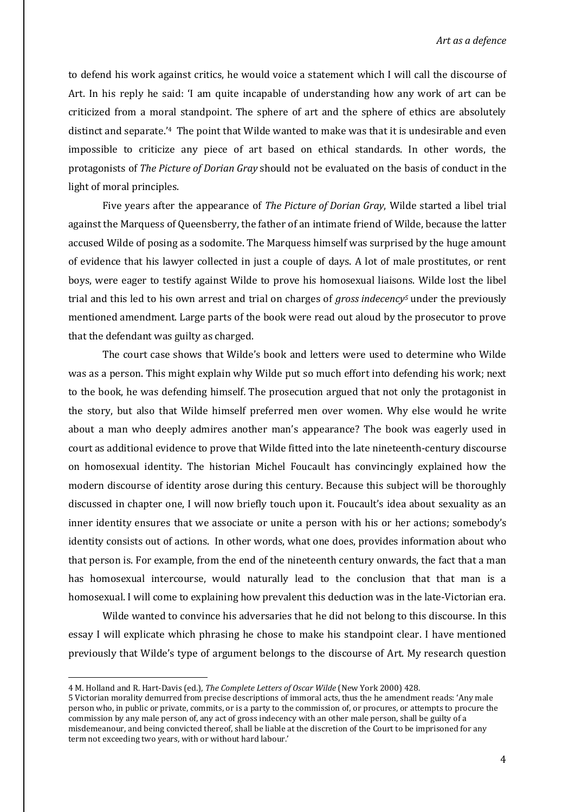to defend his work against critics, he would voice a statement which I will call the discourse of Art. In his reply he said: 'I am quite incapable of understanding how any work of art can be criticized from a moral standpoint. The sphere of art and the sphere of ethics are absolutely distinct and separate.'<sup>4</sup> The point that Wilde wanted to make was that it is undesirable and even impossible to criticize any piece of art based on ethical standards. In other words, the protagonists of *The Picture of Dorian Gray* should not be evaluated on the basis of conduct in the light of moral principles.

Five years after the appearance of *The Picture of Dorian Gray*, Wilde started a libel trial against the Marquess of Queensberry, the father of an intimate friend of Wilde, because the latter accused Wilde of posing as a sodomite. The Marquess himself was surprised by the huge amount of evidence that his lawyer collected in just a couple of days. A lot of male prostitutes, or rent boys, were eager to testify against Wilde to prove his homosexual liaisons. Wilde lost the libel trial and this led to his own arrest and trial on charges of *gross indecency<sup>5</sup>* under the previously mentioned amendment. Large parts of the book were read out aloud by the prosecutor to prove that the defendant was guilty as charged.

The court case shows that Wilde's book and letters were used to determine who Wilde was as a person. This might explain why Wilde put so much effort into defending his work; next to the book, he was defending himself*.* The prosecution argued that not only the protagonist in the story, but also that Wilde himself preferred men over women. Why else would he write about a man who deeply admires another man's appearance? The book was eagerly used in court as additional evidence to prove that Wilde fitted into the late nineteenth-century discourse on homosexual identity. The historian Michel Foucault has convincingly explained how the modern discourse of identity arose during this century. Because this subject will be thoroughly discussed in chapter one, I will now briefly touch upon it. Foucault's idea about sexuality as an inner identity ensures that we associate or unite a person with his or her actions; somebody's identity consists out of actions. In other words, what one does, provides information about who that person is. For example, from the end of the nineteenth century onwards, the fact that a man has homosexual intercourse, would naturally lead to the conclusion that that man is a homosexual. I will come to explaining how prevalent this deduction was in the late-Victorian era.

Wilde wanted to convince his adversaries that he did not belong to this discourse. In this essay I will explicate which phrasing he chose to make his standpoint clear. I have mentioned previously that Wilde's type of argument belongs to the discourse of Art. My research question

<sup>4</sup> M. Holland and R. Hart-Davis (ed.), *The Complete Letters of Oscar Wilde* (New York 2000) 428.

<sup>5</sup> Victorian morality demurred from precise descriptions of immoral acts, thus the he amendment reads: 'Any male person who, in public or private, commits, or is a party to the commission of, or procures, or attempts to procure the commission by any male person of, any act of gross indecency with an other male person, shall be guilty of a misdemeanour, and being convicted thereof, shall be liable at the discretion of the Court to be imprisoned for any term not exceeding two years, with or without hard labour.'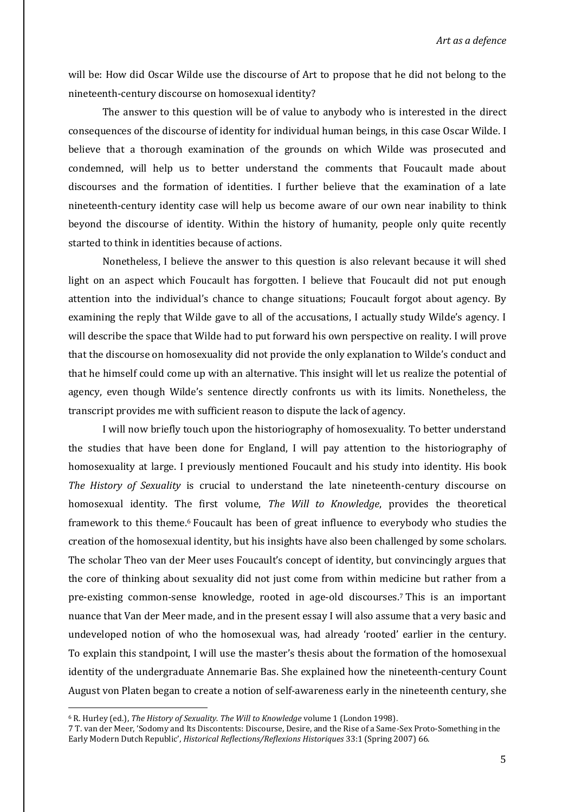will be: How did Oscar Wilde use the discourse of Art to propose that he did not belong to the nineteenth-century discourse on homosexual identity?

The answer to this question will be of value to anybody who is interested in the direct consequences of the discourse of identity for individual human beings, in this case Oscar Wilde. I believe that a thorough examination of the grounds on which Wilde was prosecuted and condemned, will help us to better understand the comments that Foucault made about discourses and the formation of identities. I further believe that the examination of a late nineteenth-century identity case will help us become aware of our own near inability to think beyond the discourse of identity. Within the history of humanity, people only quite recently started to think in identities because of actions.

Nonetheless, I believe the answer to this question is also relevant because it will shed light on an aspect which Foucault has forgotten. I believe that Foucault did not put enough attention into the individual's chance to change situations; Foucault forgot about agency. By examining the reply that Wilde gave to all of the accusations, I actually study Wilde's agency. I will describe the space that Wilde had to put forward his own perspective on reality. I will prove that the discourse on homosexuality did not provide the only explanation to Wilde's conduct and that he himself could come up with an alternative. This insight will let us realize the potential of agency, even though Wilde's sentence directly confronts us with its limits. Nonetheless, the transcript provides me with sufficient reason to dispute the lack of agency.

I will now briefly touch upon the historiography of homosexuality. To better understand the studies that have been done for England, I will pay attention to the historiography of homosexuality at large. I previously mentioned Foucault and his study into identity. His book *The History of Sexuality* is crucial to understand the late nineteenth-century discourse on homosexual identity. The first volume, *The Will to Knowledge*, provides the theoretical framework to this theme. <sup>6</sup> Foucault has been of great influence to everybody who studies the creation of the homosexual identity, but his insights have also been challenged by some scholars. The scholar Theo van der Meer uses Foucault's concept of identity, but convincingly argues that the core of thinking about sexuality did not just come from within medicine but rather from a pre-existing common-sense knowledge, rooted in age-old discourses. <sup>7</sup> This is an important nuance that Van der Meer made, and in the present essay I will also assume that a very basic and undeveloped notion of who the homosexual was, had already 'rooted' earlier in the century. To explain this standpoint, I will use the master's thesis about the formation of the homosexual identity of the undergraduate Annemarie Bas. She explained how the nineteenth-century Count August von Platen began to create a notion of self-awareness early in the nineteenth century, she

<sup>6</sup> R. Hurley (ed.), *The History of Sexuality. The Will to Knowledge* volume 1 (London 1998).

<sup>7</sup> T. van der Meer, 'Sodomy and Its Discontents: Discourse, Desire, and the Rise of a Same-Sex Proto-Something in the Early Modern Dutch Republic', *Historical Reflections/Reflexions Historiques* 33:1 (Spring 2007) 66.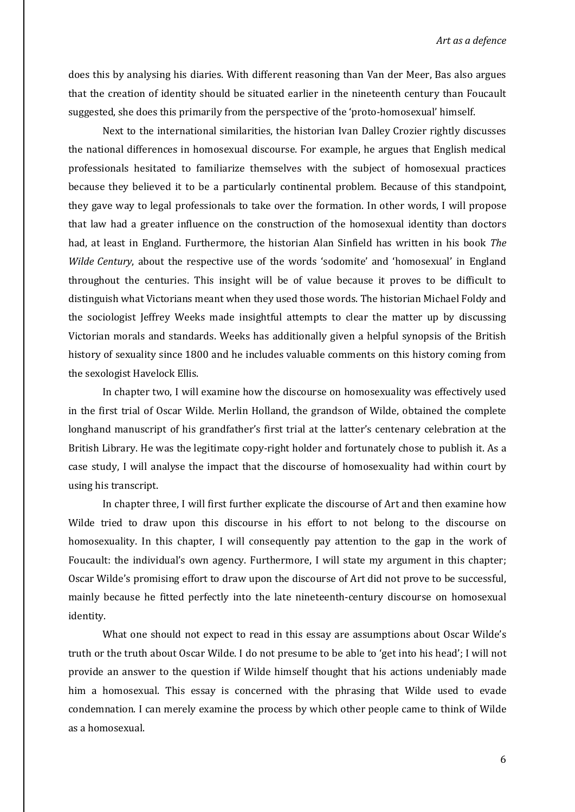does this by analysing his diaries. With different reasoning than Van der Meer, Bas also argues that the creation of identity should be situated earlier in the nineteenth century than Foucault suggested, she does this primarily from the perspective of the 'proto-homosexual' himself.

Next to the international similarities, the historian Ivan Dalley Crozier rightly discusses the national differences in homosexual discourse. For example, he argues that English medical professionals hesitated to familiarize themselves with the subject of homosexual practices because they believed it to be a particularly continental problem. Because of this standpoint, they gave way to legal professionals to take over the formation. In other words, I will propose that law had a greater influence on the construction of the homosexual identity than doctors had, at least in England. Furthermore, the historian Alan Sinfield has written in his book *The Wilde Century*, about the respective use of the words 'sodomite' and 'homosexual' in England throughout the centuries. This insight will be of value because it proves to be difficult to distinguish what Victorians meant when they used those words. The historian Michael Foldy and the sociologist Jeffrey Weeks made insightful attempts to clear the matter up by discussing Victorian morals and standards. Weeks has additionally given a helpful synopsis of the British history of sexuality since 1800 and he includes valuable comments on this history coming from the sexologist Havelock Ellis.

In chapter two, I will examine how the discourse on homosexuality was effectively used in the first trial of Oscar Wilde. Merlin Holland, the grandson of Wilde, obtained the complete longhand manuscript of his grandfather's first trial at the latter's centenary celebration at the British Library. He was the legitimate copy-right holder and fortunately chose to publish it. As a case study, I will analyse the impact that the discourse of homosexuality had within court by using his transcript.

In chapter three, I will first further explicate the discourse of Art and then examine how Wilde tried to draw upon this discourse in his effort to not belong to the discourse on homosexuality. In this chapter, I will consequently pay attention to the gap in the work of Foucault: the individual's own agency. Furthermore, I will state my argument in this chapter; Oscar Wilde's promising effort to draw upon the discourse of Art did not prove to be successful, mainly because he fitted perfectly into the late nineteenth-century discourse on homosexual identity.

What one should not expect to read in this essay are assumptions about Oscar Wilde's truth or the truth about Oscar Wilde. I do not presume to be able to 'get into his head'; I will not provide an answer to the question if Wilde himself thought that his actions undeniably made him a homosexual. This essay is concerned with the phrasing that Wilde used to evade condemnation. I can merely examine the process by which other people came to think of Wilde as a homosexual.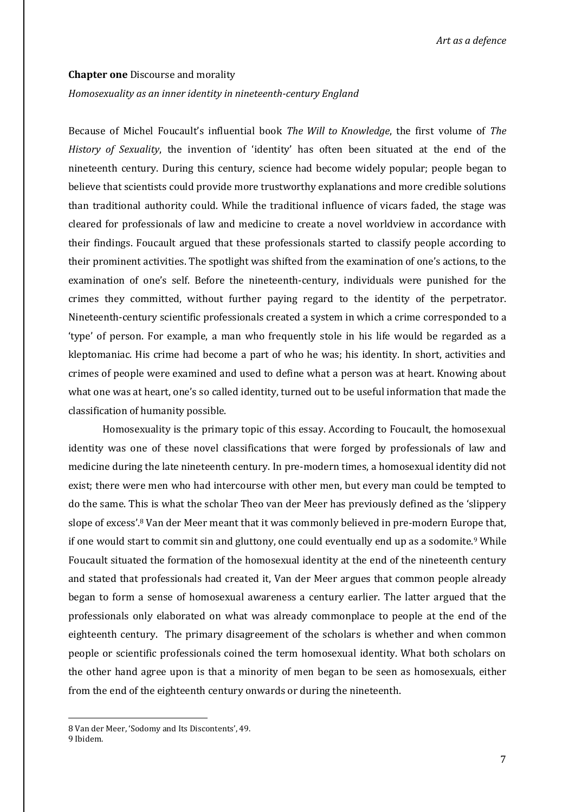#### **Chapter one** Discourse and morality

#### *Homosexuality as an inner identity in nineteenth-century England*

Because of Michel Foucault's influential book *The Will to Knowledge*, the first volume of *The History of Sexuality*, the invention of 'identity' has often been situated at the end of the nineteenth century. During this century, science had become widely popular; people began to believe that scientists could provide more trustworthy explanations and more credible solutions than traditional authority could. While the traditional influence of vicars faded, the stage was cleared for professionals of law and medicine to create a novel worldview in accordance with their findings. Foucault argued that these professionals started to classify people according to their prominent activities. The spotlight was shifted from the examination of one's actions, to the examination of one's self. Before the nineteenth-century, individuals were punished for the crimes they committed, without further paying regard to the identity of the perpetrator. Nineteenth-century scientific professionals created a system in which a crime corresponded to a 'type' of person. For example, a man who frequently stole in his life would be regarded as a kleptomaniac. His crime had become a part of who he was; his identity. In short, activities and crimes of people were examined and used to define what a person was at heart. Knowing about what one was at heart, one's so called identity, turned out to be useful information that made the classification of humanity possible.

Homosexuality is the primary topic of this essay. According to Foucault, the homosexual identity was one of these novel classifications that were forged by professionals of law and medicine during the late nineteenth century. In pre-modern times, a homosexual identity did not exist; there were men who had intercourse with other men, but every man could be tempted to do the same. This is what the scholar Theo van der Meer has previously defined as the 'slippery slope of excess'.<sup>8</sup> Van der Meer meant that it was commonly believed in pre-modern Europe that, if one would start to commit sin and gluttony, one could eventually end up as a sodomite.<sup>9</sup> While Foucault situated the formation of the homosexual identity at the end of the nineteenth century and stated that professionals had created it, Van der Meer argues that common people already began to form a sense of homosexual awareness a century earlier. The latter argued that the professionals only elaborated on what was already commonplace to people at the end of the eighteenth century. The primary disagreement of the scholars is whether and when common people or scientific professionals coined the term homosexual identity. What both scholars on the other hand agree upon is that a minority of men began to be seen as homosexuals, either from the end of the eighteenth century onwards or during the nineteenth.

1

<sup>8</sup> Van der Meer, 'Sodomy and Its Discontents', 49.

<sup>9</sup> Ibidem.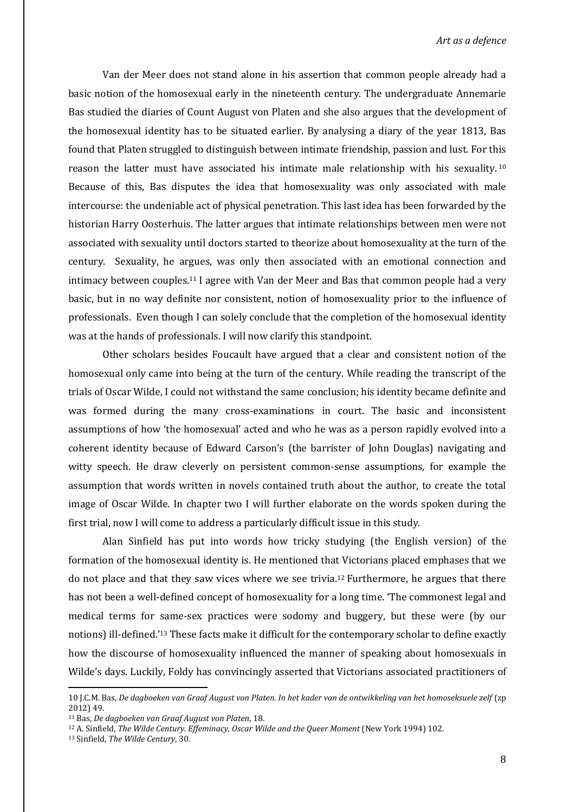Van der Meer does not stand alone in his assertion that common people already had a basic notion of the homosexual early in the nineteenth century. The undergraduate Annemarie Bas studied the diaries of Count August von Platen and she also argues that the development of the homosexual identity has to be situated earlier. By analysing a diary of the year 1813, Bas found that Platen struggled to distinguish between intimate friendship, passion and lust. For this reason the latter must have associated his intimate male relationship with his sexuality.<sup>10</sup> Because of this, Bas disputes the idea that homosexuality was only associated with male intercourse: the undeniable act of physical penetration. This last idea has been forwarded by the historian Harry Oosterhuis. The latter argues that intimate relationships between men were not associated with sexuality until doctors started to theorize about homosexuality at the turn of the century. Sexuality, he argues, was only then associated with an emotional connection and intimacy between couples.<sup>11</sup> I agree with Van der Meer and Bas that common people had a very basic, but in no way definite nor consistent, notion of homosexuality prior to the influence of professionals. Even though I can solely conclude that the completion of the homosexual identity was at the hands of professionals. I will now clarify this standpoint.

Other scholars besides Foucault have argued that a clear and consistent notion of the homosexual only came into being at the turn of the century. While reading the transcript of the trials of Oscar Wilde, I could not withstand the same conclusion; his identity became definite and was formed during the many cross-examinations in court. The basic and inconsistent assumptions of how 'the homosexual' acted and who he was as a person rapidly evolved into a coherent identity because of Edward Carson's (the barrister of John Douglas) navigating and witty speech. He draw cleverly on persistent common-sense assumptions, for example the assumption that words written in novels contained truth about the author, to create the total image of Oscar Wilde. In chapter two I will further elaborate on the words spoken during the first trial, now I will come to address a particularly difficult issue in this study.

Alan Sinfield has put into words how tricky studying (the English version) of the formation of the homosexual identity is. He mentioned that Victorians placed emphases that we do not place and that they saw vices where we see trivia.<sup>12</sup> Furthermore, he argues that there has not been a well-defined concept of homosexuality for a long time. 'The commonest legal and medical terms for same-sex practices were sodomy and buggery, but these were (by our notions) ill-defined.'<sup>13</sup> These facts make it difficult for the contemporary scholar to define exactly how the discourse of homosexuality influenced the manner of speaking about homosexuals in Wilde's days. Luckily, Foldy has convincingly asserted that Victorians associated practitioners of

<sup>10</sup> J.C.M. Bas, *De dagboeken van Graaf August von Platen. In het kader van de ontwikkeling van het homoseksuele zelf* (zp 2012) 49.

<sup>11</sup> Bas, *De dagboeken van Graaf August von Platen*, 18.

<sup>12</sup> A. Sinfield, *The Wilde Century. Effeminacy, Oscar Wilde and the Queer Moment* (New York 1994) 102.

<sup>13</sup> Sinfield, *The Wilde Century*, 30.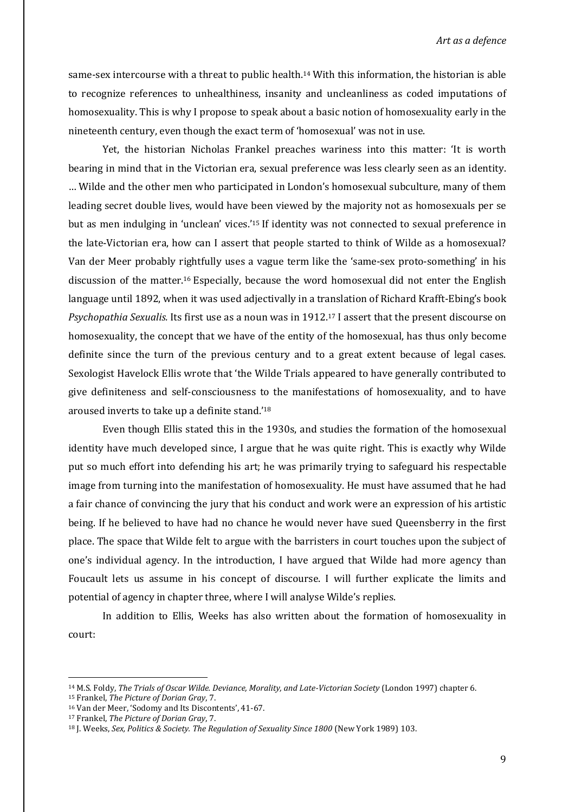same-sex intercourse with a threat to public health.<sup>14</sup> With this information, the historian is able to recognize references to unhealthiness, insanity and uncleanliness as coded imputations of homosexuality. This is why I propose to speak about a basic notion of homosexuality early in the nineteenth century, even though the exact term of 'homosexual' was not in use.

Yet, the historian Nicholas Frankel preaches wariness into this matter: 'It is worth bearing in mind that in the Victorian era, sexual preference was less clearly seen as an identity. … Wilde and the other men who participated in London's homosexual subculture, many of them leading secret double lives, would have been viewed by the majority not as homosexuals per se but as men indulging in 'unclean' vices.'<sup>15</sup> If identity was not connected to sexual preference in the late-Victorian era, how can I assert that people started to think of Wilde as a homosexual? Van der Meer probably rightfully uses a vague term like the 'same-sex proto-something' in his discussion of the matter.<sup>16</sup> Especially, because the word homosexual did not enter the English language until 1892, when it was used adjectivally in a translation of Richard Krafft-Ebing's book *Psychopathia Sexualis.* Its first use as a noun was in 1912. <sup>17</sup> I assert that the present discourse on homosexuality, the concept that we have of the entity of the homosexual, has thus only become definite since the turn of the previous century and to a great extent because of legal cases. Sexologist Havelock Ellis wrote that 'the Wilde Trials appeared to have generally contributed to give definiteness and self-consciousness to the manifestations of homosexuality, and to have aroused inverts to take up a definite stand.'<sup>18</sup>

Even though Ellis stated this in the 1930s, and studies the formation of the homosexual identity have much developed since, I argue that he was quite right. This is exactly why Wilde put so much effort into defending his art; he was primarily trying to safeguard his respectable image from turning into the manifestation of homosexuality. He must have assumed that he had a fair chance of convincing the jury that his conduct and work were an expression of his artistic being. If he believed to have had no chance he would never have sued Queensberry in the first place. The space that Wilde felt to argue with the barristers in court touches upon the subject of one's individual agency. In the introduction, I have argued that Wilde had more agency than Foucault lets us assume in his concept of discourse. I will further explicate the limits and potential of agency in chapter three, where I will analyse Wilde's replies.

In addition to Ellis, Weeks has also written about the formation of homosexuality in court:

<sup>14</sup> M.S. Foldy, *The Trials of Oscar Wilde. Deviance, Morality, and Late-Victorian Society* (London 1997) chapter 6.

<sup>15</sup> Frankel, *The Picture of Dorian Gray*, 7.

<sup>16</sup> Van der Meer, 'Sodomy and Its Discontents', 41-67.

<sup>17</sup> Frankel, *The Picture of Dorian Gray*, 7.

<sup>18</sup> J. Weeks, *Sex, Politics & Society. The Regulation of Sexuality Since 1800* (New York 1989) 103.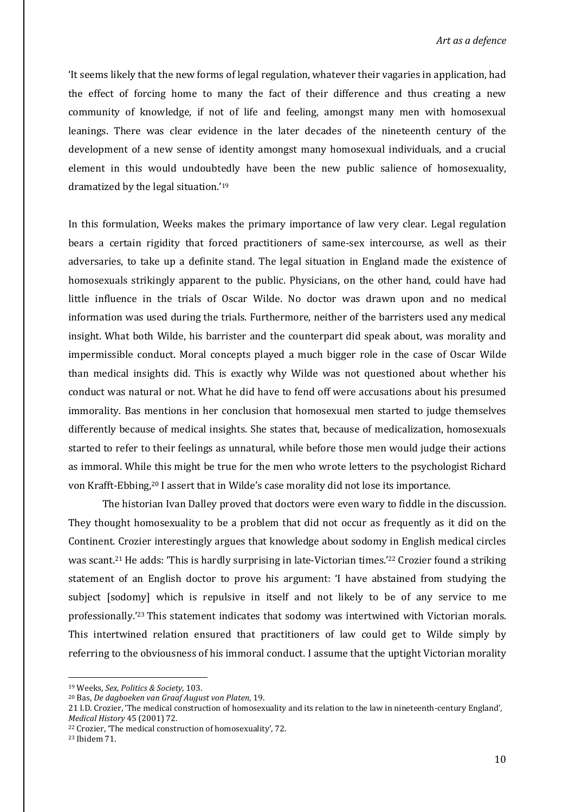'It seems likely that the new forms of legal regulation, whatever their vagaries in application, had the effect of forcing home to many the fact of their difference and thus creating a new community of knowledge, if not of life and feeling, amongst many men with homosexual leanings. There was clear evidence in the later decades of the nineteenth century of the development of a new sense of identity amongst many homosexual individuals, and a crucial element in this would undoubtedly have been the new public salience of homosexuality, dramatized by the legal situation.'<sup>19</sup>

In this formulation, Weeks makes the primary importance of law very clear. Legal regulation bears a certain rigidity that forced practitioners of same-sex intercourse, as well as their adversaries, to take up a definite stand. The legal situation in England made the existence of homosexuals strikingly apparent to the public. Physicians, on the other hand, could have had little influence in the trials of Oscar Wilde. No doctor was drawn upon and no medical information was used during the trials. Furthermore, neither of the barristers used any medical insight. What both Wilde, his barrister and the counterpart did speak about, was morality and impermissible conduct. Moral concepts played a much bigger role in the case of Oscar Wilde than medical insights did. This is exactly why Wilde was not questioned about whether his conduct was natural or not. What he did have to fend off were accusations about his presumed immorality. Bas mentions in her conclusion that homosexual men started to judge themselves differently because of medical insights. She states that, because of medicalization, homosexuals started to refer to their feelings as unnatural, while before those men would judge their actions as immoral. While this might be true for the men who wrote letters to the psychologist Richard von Krafft-Ebbing,<sup>20</sup> I assert that in Wilde's case morality did not lose its importance.

The historian Ivan Dalley proved that doctors were even wary to fiddle in the discussion. They thought homosexuality to be a problem that did not occur as frequently as it did on the Continent. Crozier interestingly argues that knowledge about sodomy in English medical circles was scant.<sup>21</sup> He adds: 'This is hardly surprising in late-Victorian times.'<sup>22</sup> Crozier found a striking statement of an English doctor to prove his argument: 'I have abstained from studying the subject [sodomy] which is repulsive in itself and not likely to be of any service to me professionally.'<sup>23</sup> This statement indicates that sodomy was intertwined with Victorian morals. This intertwined relation ensured that practitioners of law could get to Wilde simply by referring to the obviousness of his immoral conduct. I assume that the uptight Victorian morality

<sup>19</sup> Weeks, *Sex, Politics & Society*, 103.

<sup>20</sup> Bas, *De dagboeken van Graaf August von Platen*, 19.

<sup>21</sup> I.D. Crozier, 'The medical construction of homosexuality and its relation to the law in nineteenth-century England', *Medical History* 45 (2001) 72.

<sup>22</sup> Crozier, 'The medical construction of homosexuality', 72.

<sup>23</sup> Ibidem 71.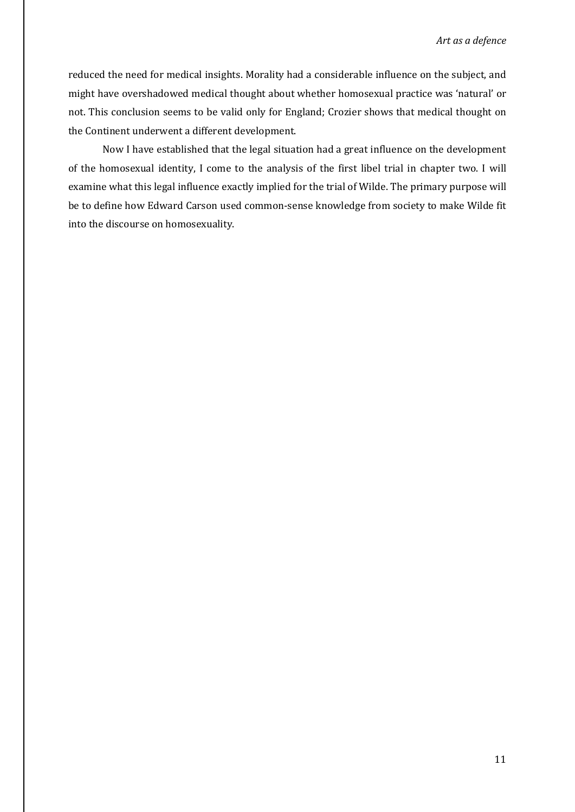reduced the need for medical insights. Morality had a considerable influence on the subject, and might have overshadowed medical thought about whether homosexual practice was 'natural' or not. This conclusion seems to be valid only for England; Crozier shows that medical thought on the Continent underwent a different development.

Now I have established that the legal situation had a great influence on the development of the homosexual identity, I come to the analysis of the first libel trial in chapter two. I will examine what this legal influence exactly implied for the trial of Wilde. The primary purpose will be to define how Edward Carson used common-sense knowledge from society to make Wilde fit into the discourse on homosexuality.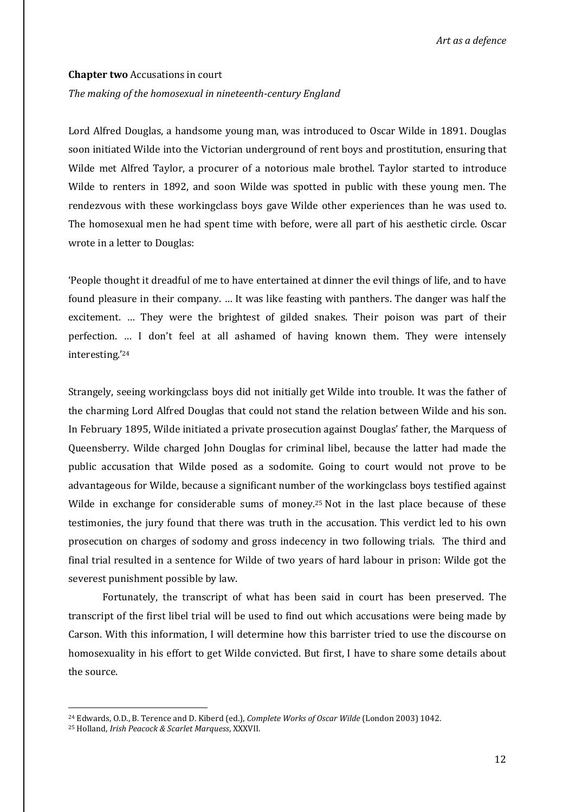#### **Chapter two** Accusations in court

#### *The making of the homosexual in nineteenth-century England*

Lord Alfred Douglas, a handsome young man, was introduced to Oscar Wilde in 1891. Douglas soon initiated Wilde into the Victorian underground of rent boys and prostitution, ensuring that Wilde met Alfred Taylor, a procurer of a notorious male brothel. Taylor started to introduce Wilde to renters in 1892, and soon Wilde was spotted in public with these young men. The rendezvous with these workingclass boys gave Wilde other experiences than he was used to. The homosexual men he had spent time with before, were all part of his aesthetic circle. Oscar wrote in a letter to Douglas:

'People thought it dreadful of me to have entertained at dinner the evil things of life, and to have found pleasure in their company. … It was like feasting with panthers. The danger was half the excitement. … They were the brightest of gilded snakes. Their poison was part of their perfection. … I don't feel at all ashamed of having known them. They were intensely interesting.'<sup>24</sup>

Strangely, seeing workingclass boys did not initially get Wilde into trouble. It was the father of the charming Lord Alfred Douglas that could not stand the relation between Wilde and his son. In February 1895, Wilde initiated a private prosecution against Douglas' father, the Marquess of Queensberry. Wilde charged John Douglas for criminal libel, because the latter had made the public accusation that Wilde posed as a sodomite. Going to court would not prove to be advantageous for Wilde, because a significant number of the workingclass boys testified against Wilde in exchange for considerable sums of money.<sup>25</sup> Not in the last place because of these testimonies, the jury found that there was truth in the accusation. This verdict led to his own prosecution on charges of sodomy and gross indecency in two following trials. The third and final trial resulted in a sentence for Wilde of two years of hard labour in prison: Wilde got the severest punishment possible by law.

Fortunately, the transcript of what has been said in court has been preserved. The transcript of the first libel trial will be used to find out which accusations were being made by Carson. With this information, I will determine how this barrister tried to use the discourse on homosexuality in his effort to get Wilde convicted. But first, I have to share some details about the source.

<sup>24</sup> Edwards, O.D., B. Terence and D. Kiberd (ed.), *Complete Works of Oscar Wilde* (London 2003) 1042.

<sup>25</sup> Holland, *Irish Peacock & Scarlet Marquess*, XXXVII.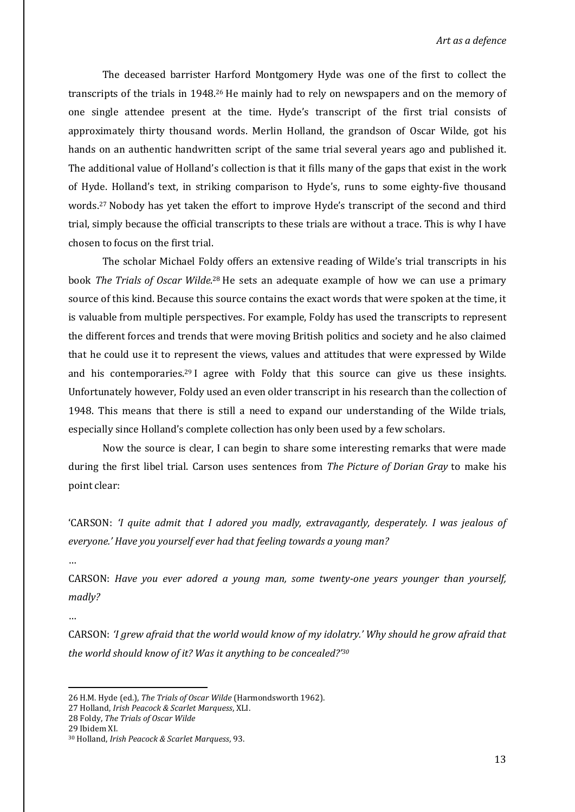The deceased barrister Harford Montgomery Hyde was one of the first to collect the transcripts of the trials in 1948.<sup>26</sup> He mainly had to rely on newspapers and on the memory of one single attendee present at the time. Hyde's transcript of the first trial consists of approximately thirty thousand words. Merlin Holland, the grandson of Oscar Wilde, got his hands on an authentic handwritten script of the same trial several years ago and published it. The additional value of Holland's collection is that it fills many of the gaps that exist in the work of Hyde. Holland's text, in striking comparison to Hyde's, runs to some eighty-five thousand words. <sup>27</sup> Nobody has yet taken the effort to improve Hyde's transcript of the second and third trial, simply because the official transcripts to these trials are without a trace. This is why I have chosen to focus on the first trial.

The scholar Michael Foldy offers an extensive reading of Wilde's trial transcripts in his book The Trials of Oscar Wilde.<sup>28</sup> He sets an adequate example of how we can use a primary source of this kind. Because this source contains the exact words that were spoken at the time, it is valuable from multiple perspectives. For example, Foldy has used the transcripts to represent the different forces and trends that were moving British politics and society and he also claimed that he could use it to represent the views, values and attitudes that were expressed by Wilde and his contemporaries.<sup>29</sup> I agree with Foldy that this source can give us these insights. Unfortunately however, Foldy used an even older transcript in his research than the collection of 1948. This means that there is still a need to expand our understanding of the Wilde trials, especially since Holland's complete collection has only been used by a few scholars.

Now the source is clear, I can begin to share some interesting remarks that were made during the first libel trial. Carson uses sentences from *The Picture of Dorian Gray* to make his point clear:

'CARSON: *'I quite admit that I adored you madly, extravagantly, desperately. I was jealous of everyone.' Have you yourself ever had that feeling towards a young man?*

…

CARSON: *Have you ever adored a young man, some twenty-one years younger than yourself, madly?*

…

**.** 

CARSON: *'I grew afraid that the world would know of my idolatry.' Why should he grow afraid that the world should know of it? Was it anything to be concealed?' 30*

<sup>26</sup> H.M. Hyde (ed.), *The Trials of Oscar Wilde* (Harmondsworth 1962).

<sup>27</sup> Holland, *Irish Peacock & Scarlet Marquess*, XLI.

<sup>28</sup> Foldy, *The Trials of Oscar Wilde*

<sup>29</sup> Ibidem XI.

<sup>30</sup> Holland, *Irish Peacock & Scarlet Marquess*, 93.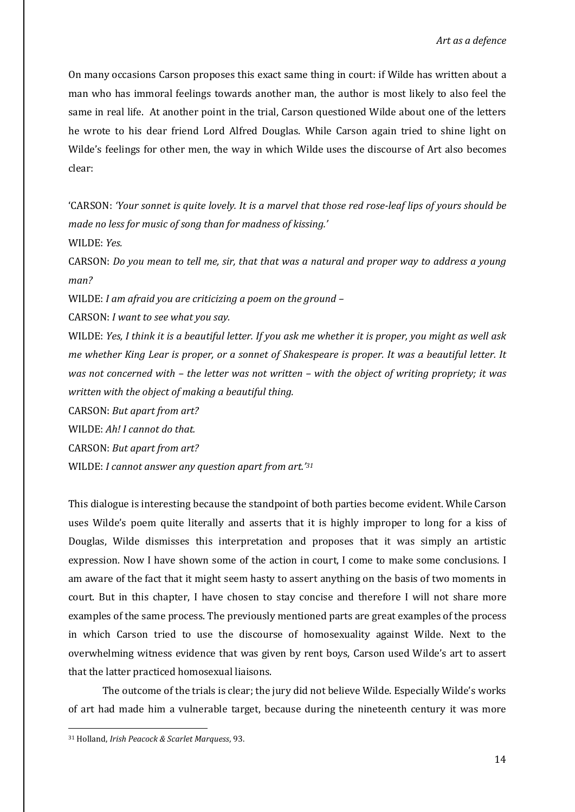On many occasions Carson proposes this exact same thing in court: if Wilde has written about a man who has immoral feelings towards another man, the author is most likely to also feel the same in real life. At another point in the trial, Carson questioned Wilde about one of the letters he wrote to his dear friend Lord Alfred Douglas. While Carson again tried to shine light on Wilde's feelings for other men, the way in which Wilde uses the discourse of Art also becomes clear:

'CARSON: *'Your sonnet is quite lovely. It is a marvel that those red rose-leaf lips of yours should be made no less for music of song than for madness of kissing.'*

WILDE: *Yes.*

CARSON: *Do you mean to tell me, sir, that that was a natural and proper way to address a young man?*

WILDE: *I am afraid you are criticizing a poem on the ground –*

CARSON: *I want to see what you say.*

WILDE: *Yes, I think it is a beautiful letter. If you ask me whether it is proper, you might as well ask me whether King Lear is proper, or a sonnet of Shakespeare is proper. It was a beautiful letter. It was not concerned with – the letter was not written – with the object of writing propriety; it was written with the object of making a beautiful thing.* 

CARSON: *But apart from art?*

WILDE: *Ah! I cannot do that.*

CARSON: *But apart from art?*

WILDE: *I cannot answer any question apart from art.' 31*

This dialogue is interesting because the standpoint of both parties become evident. While Carson uses Wilde's poem quite literally and asserts that it is highly improper to long for a kiss of Douglas, Wilde dismisses this interpretation and proposes that it was simply an artistic expression. Now I have shown some of the action in court, I come to make some conclusions. I am aware of the fact that it might seem hasty to assert anything on the basis of two moments in court. But in this chapter, I have chosen to stay concise and therefore I will not share more examples of the same process. The previously mentioned parts are great examples of the process in which Carson tried to use the discourse of homosexuality against Wilde. Next to the overwhelming witness evidence that was given by rent boys, Carson used Wilde's art to assert that the latter practiced homosexual liaisons.

The outcome of the trials is clear; the jury did not believe Wilde. Especially Wilde's works of art had made him a vulnerable target, because during the nineteenth century it was more

<sup>31</sup> Holland, *Irish Peacock & Scarlet Marquess*, 93.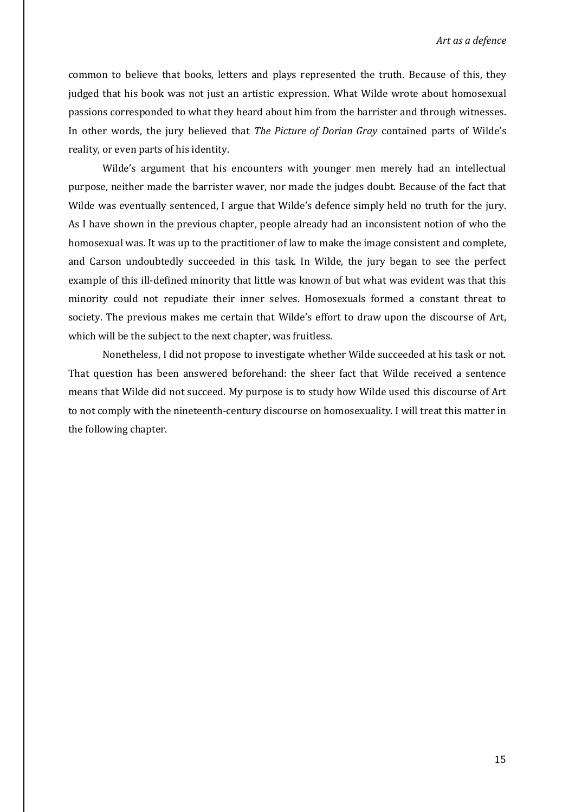common to believe that books, letters and plays represented the truth. Because of this, they judged that his book was not just an artistic expression. What Wilde wrote about homosexual passions corresponded to what they heard about him from the barrister and through witnesses. In other words, the jury believed that *The Picture of Dorian Gray* contained parts of Wilde's reality, or even parts of his identity.

Wilde's argument that his encounters with younger men merely had an intellectual purpose, neither made the barrister waver, nor made the judges doubt. Because of the fact that Wilde was eventually sentenced, I argue that Wilde's defence simply held no truth for the jury. As I have shown in the previous chapter, people already had an inconsistent notion of who the homosexual was. It was up to the practitioner of law to make the image consistent and complete, and Carson undoubtedly succeeded in this task. In Wilde, the jury began to see the perfect example of this ill-defined minority that little was known of but what was evident was that this minority could not repudiate their inner selves. Homosexuals formed a constant threat to society. The previous makes me certain that Wilde's effort to draw upon the discourse of Art, which will be the subject to the next chapter, was fruitless.

Nonetheless, I did not propose to investigate whether Wilde succeeded at his task or not. That question has been answered beforehand: the sheer fact that Wilde received a sentence means that Wilde did not succeed. My purpose is to study how Wilde used this discourse of Art to not comply with the nineteenth-century discourse on homosexuality. I will treat this matter in the following chapter.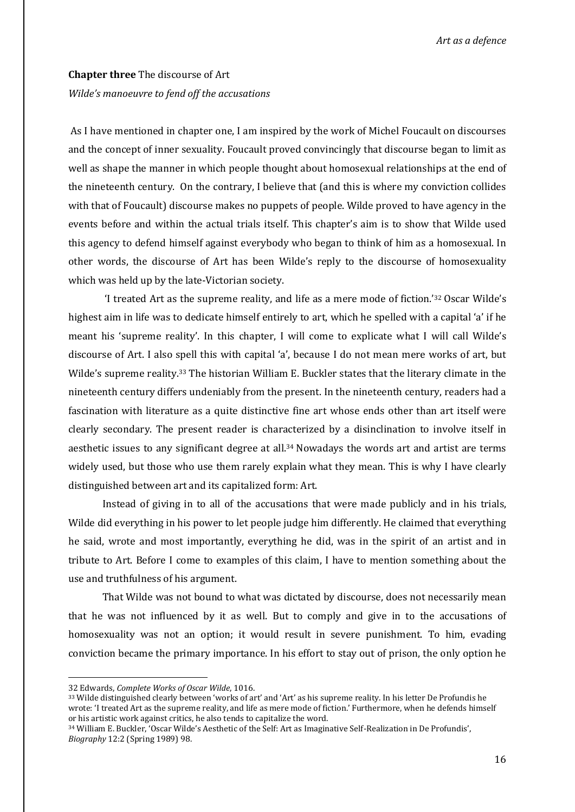*Art as a defence*

## **Chapter three** The discourse of Art *Wilde's manoeuvre to fend off the accusations*

As I have mentioned in chapter one, I am inspired by the work of Michel Foucault on discourses and the concept of inner sexuality. Foucault proved convincingly that discourse began to limit as well as shape the manner in which people thought about homosexual relationships at the end of the nineteenth century. On the contrary, I believe that (and this is where my conviction collides with that of Foucault) discourse makes no puppets of people. Wilde proved to have agency in the events before and within the actual trials itself. This chapter's aim is to show that Wilde used this agency to defend himself against everybody who began to think of him as a homosexual. In other words, the discourse of Art has been Wilde's reply to the discourse of homosexuality which was held up by the late-Victorian society.

'I treated Art as the supreme reality, and life as a mere mode of fiction.'<sup>32</sup> Oscar Wilde's highest aim in life was to dedicate himself entirely to art, which he spelled with a capital 'a' if he meant his 'supreme reality'. In this chapter, I will come to explicate what I will call Wilde's discourse of Art. I also spell this with capital 'a', because I do not mean mere works of art, but Wilde's supreme reality.<sup>33</sup> The historian William E. Buckler states that the literary climate in the nineteenth century differs undeniably from the present. In the nineteenth century, readers had a fascination with literature as a quite distinctive fine art whose ends other than art itself were clearly secondary. The present reader is characterized by a disinclination to involve itself in aesthetic issues to any significant degree at all.<sup>34</sup> Nowadays the words art and artist are terms widely used, but those who use them rarely explain what they mean. This is why I have clearly distinguished between art and its capitalized form: Art.

Instead of giving in to all of the accusations that were made publicly and in his trials, Wilde did everything in his power to let people judge him differently. He claimed that everything he said, wrote and most importantly, everything he did, was in the spirit of an artist and in tribute to Art. Before I come to examples of this claim, I have to mention something about the use and truthfulness of his argument.

That Wilde was not bound to what was dictated by discourse, does not necessarily mean that he was not influenced by it as well. But to comply and give in to the accusations of homosexuality was not an option; it would result in severe punishment. To him, evading conviction became the primary importance. In his effort to stay out of prison, the only option he

<sup>32</sup> Edwards, *Complete Works of Oscar Wilde*, 1016.

<sup>33</sup> Wilde distinguished clearly between 'works of art' and 'Art' as his supreme reality. In his letter De Profundis he wrote: 'I treated Art as the supreme reality, and life as mere mode of fiction.' Furthermore, when he defends himself or his artistic work against critics, he also tends to capitalize the word.

<sup>34</sup> William E. Buckler, 'Oscar Wilde's Aesthetic of the Self: Art as Imaginative Self-Realization in De Profundis', *Biography* 12:2 (Spring 1989) 98.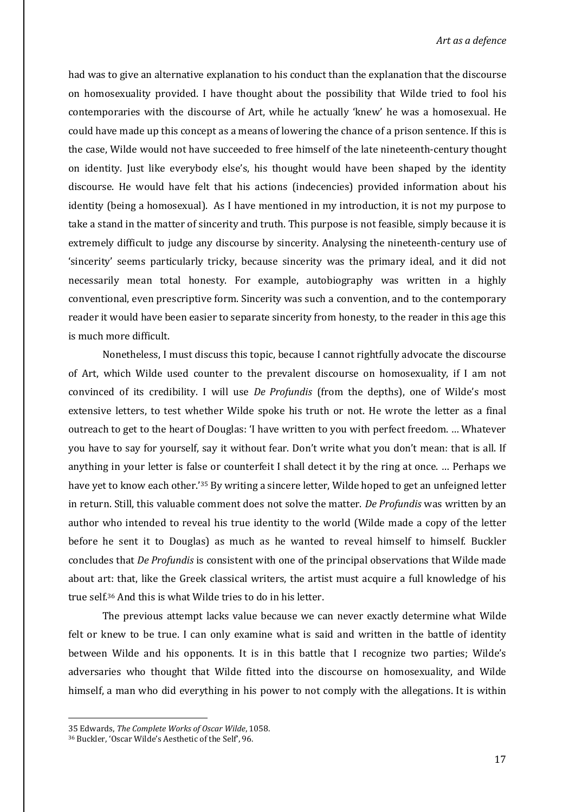had was to give an alternative explanation to his conduct than the explanation that the discourse on homosexuality provided. I have thought about the possibility that Wilde tried to fool his contemporaries with the discourse of Art, while he actually 'knew' he was a homosexual. He could have made up this concept as a means of lowering the chance of a prison sentence. If this is the case, Wilde would not have succeeded to free himself of the late nineteenth-century thought on identity. Just like everybody else's, his thought would have been shaped by the identity discourse. He would have felt that his actions (indecencies) provided information about his identity (being a homosexual). As I have mentioned in my introduction, it is not my purpose to take a stand in the matter of sincerity and truth. This purpose is not feasible, simply because it is extremely difficult to judge any discourse by sincerity. Analysing the nineteenth-century use of 'sincerity' seems particularly tricky, because sincerity was the primary ideal, and it did not necessarily mean total honesty. For example, autobiography was written in a highly conventional, even prescriptive form. Sincerity was such a convention, and to the contemporary reader it would have been easier to separate sincerity from honesty, to the reader in this age this is much more difficult.

Nonetheless, I must discuss this topic, because I cannot rightfully advocate the discourse of Art, which Wilde used counter to the prevalent discourse on homosexuality, if I am not convinced of its credibility. I will use *De Profundis* (from the depths), one of Wilde's most extensive letters, to test whether Wilde spoke his truth or not. He wrote the letter as a final outreach to get to the heart of Douglas: 'I have written to you with perfect freedom. … Whatever you have to say for yourself, say it without fear. Don't write what you don't mean: that is all. If anything in your letter is false or counterfeit I shall detect it by the ring at once. … Perhaps we have yet to know each other.'<sup>35</sup> By writing a sincere letter, Wilde hoped to get an unfeigned letter in return. Still, this valuable comment does not solve the matter. *De Profundis* was written by an author who intended to reveal his true identity to the world (Wilde made a copy of the letter before he sent it to Douglas) as much as he wanted to reveal himself to himself. Buckler concludes that *De Profundis* is consistent with one of the principal observations that Wilde made about art: that, like the Greek classical writers, the artist must acquire a full knowledge of his true self.<sup>36</sup> And this is what Wilde tries to do in his letter.

The previous attempt lacks value because we can never exactly determine what Wilde felt or knew to be true. I can only examine what is said and written in the battle of identity between Wilde and his opponents. It is in this battle that I recognize two parties; Wilde's adversaries who thought that Wilde fitted into the discourse on homosexuality, and Wilde himself, a man who did everything in his power to not comply with the allegations. It is within

1

<sup>35</sup> Edwards, *The Complete Works of Oscar Wilde*, 1058.

<sup>36</sup> Buckler, 'Oscar Wilde's Aesthetic of the Self', 96.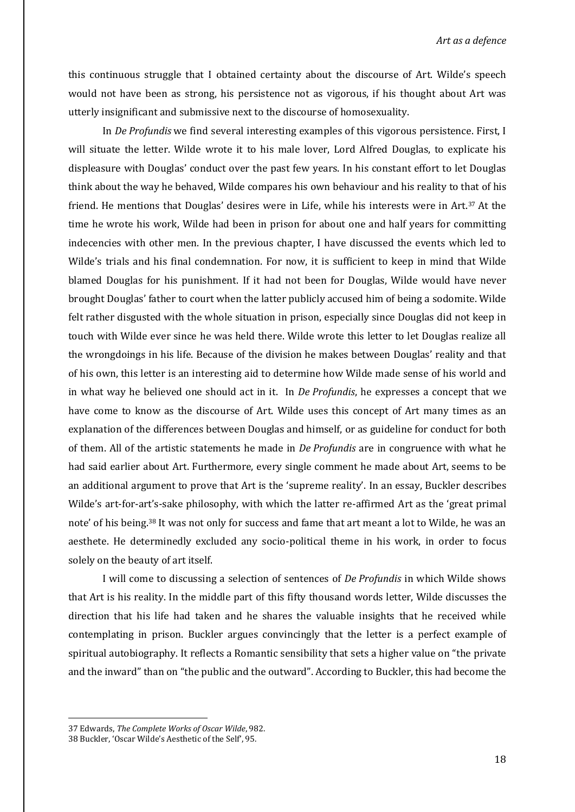*Art as a defence*

this continuous struggle that I obtained certainty about the discourse of Art. Wilde's speech would not have been as strong, his persistence not as vigorous, if his thought about Art was utterly insignificant and submissive next to the discourse of homosexuality.

In *De Profundis* we find several interesting examples of this vigorous persistence. First, I will situate the letter. Wilde wrote it to his male lover, Lord Alfred Douglas, to explicate his displeasure with Douglas' conduct over the past few years. In his constant effort to let Douglas think about the way he behaved, Wilde compares his own behaviour and his reality to that of his friend. He mentions that Douglas' desires were in Life, while his interests were in Art.<sup>37</sup> At the time he wrote his work, Wilde had been in prison for about one and half years for committing indecencies with other men. In the previous chapter, I have discussed the events which led to Wilde's trials and his final condemnation. For now, it is sufficient to keep in mind that Wilde blamed Douglas for his punishment. If it had not been for Douglas, Wilde would have never brought Douglas' father to court when the latter publicly accused him of being a sodomite. Wilde felt rather disgusted with the whole situation in prison, especially since Douglas did not keep in touch with Wilde ever since he was held there. Wilde wrote this letter to let Douglas realize all the wrongdoings in his life. Because of the division he makes between Douglas' reality and that of his own, this letter is an interesting aid to determine how Wilde made sense of his world and in what way he believed one should act in it. In *De Profundis*, he expresses a concept that we have come to know as the discourse of Art. Wilde uses this concept of Art many times as an explanation of the differences between Douglas and himself, or as guideline for conduct for both of them. All of the artistic statements he made in *De Profundis* are in congruence with what he had said earlier about Art. Furthermore, every single comment he made about Art, seems to be an additional argument to prove that Art is the 'supreme reality'. In an essay, Buckler describes Wilde's art-for-art's-sake philosophy, with which the latter re-affirmed Art as the 'great primal note' of his being.<sup>38</sup> It was not only for success and fame that art meant a lot to Wilde, he was an aesthete. He determinedly excluded any socio-political theme in his work, in order to focus solely on the beauty of art itself.

I will come to discussing a selection of sentences of *De Profundis* in which Wilde shows that Art is his reality. In the middle part of this fifty thousand words letter, Wilde discusses the direction that his life had taken and he shares the valuable insights that he received while contemplating in prison. Buckler argues convincingly that the letter is a perfect example of spiritual autobiography. It reflects a Romantic sensibility that sets a higher value on "the private and the inward" than on "the public and the outward". According to Buckler, this had become the

1

<sup>37</sup> Edwards, *The Complete Works of Oscar Wilde*, 982.

<sup>38</sup> Buckler, 'Oscar Wilde's Aesthetic of the Self', 95.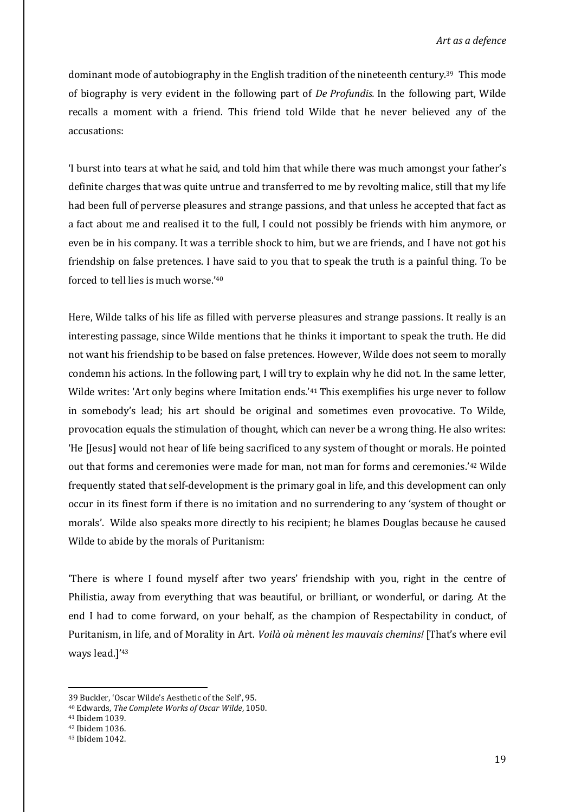dominant mode of autobiography in the English tradition of the nineteenth century.39 This mode of biography is very evident in the following part of *De Profundis.* In the following part, Wilde recalls a moment with a friend. This friend told Wilde that he never believed any of the accusations:

'I burst into tears at what he said, and told him that while there was much amongst your father's definite charges that was quite untrue and transferred to me by revolting malice, still that my life had been full of perverse pleasures and strange passions, and that unless he accepted that fact as a fact about me and realised it to the full, I could not possibly be friends with him anymore, or even be in his company. It was a terrible shock to him, but we are friends, and I have not got his friendship on false pretences. I have said to you that to speak the truth is a painful thing. To be forced to tell lies is much worse.'<sup>40</sup>

Here, Wilde talks of his life as filled with perverse pleasures and strange passions. It really is an interesting passage, since Wilde mentions that he thinks it important to speak the truth. He did not want his friendship to be based on false pretences. However, Wilde does not seem to morally condemn his actions. In the following part, I will try to explain why he did not. In the same letter, Wilde writes: 'Art only begins where Imitation ends.'<sup>41</sup> This exemplifies his urge never to follow in somebody's lead; his art should be original and sometimes even provocative. To Wilde, provocation equals the stimulation of thought, which can never be a wrong thing. He also writes: 'He [Jesus] would not hear of life being sacrificed to any system of thought or morals. He pointed out that forms and ceremonies were made for man, not man for forms and ceremonies.'<sup>42</sup> Wilde frequently stated that self-development is the primary goal in life, and this development can only occur in its finest form if there is no imitation and no surrendering to any 'system of thought or morals'. Wilde also speaks more directly to his recipient; he blames Douglas because he caused Wilde to abide by the morals of Puritanism:

'There is where I found myself after two years' friendship with you, right in the centre of Philistia, away from everything that was beautiful, or brilliant, or wonderful, or daring. At the end I had to come forward, on your behalf, as the champion of Respectability in conduct, of Puritanism, in life, and of Morality in Art. *Voilà où mènent les mauvais chemins!* [That's where evil ways lead.]'<sup>43</sup>

<sup>39</sup> Buckler, 'Oscar Wilde's Aesthetic of the Self', 95.

<sup>40</sup> Edwards, *The Complete Works of Oscar Wilde*, 1050.

<sup>41</sup> Ibidem 1039.

<sup>42</sup> Ibidem 1036.

<sup>43</sup> Ibidem 1042.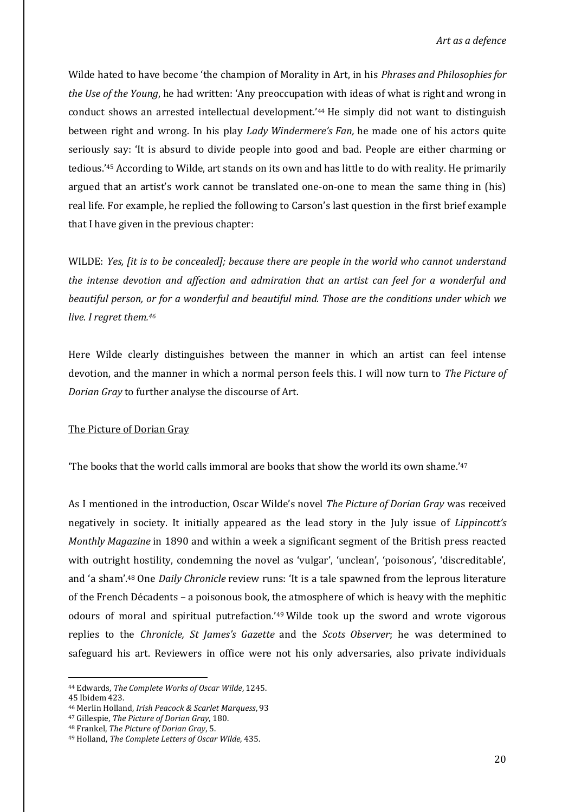Wilde hated to have become 'the champion of Morality in Art, in his *Phrases and Philosophies for the Use of the Young*, he had written: 'Any preoccupation with ideas of what is right and wrong in conduct shows an arrested intellectual development.'<sup>44</sup> He simply did not want to distinguish between right and wrong. In his play *Lady Windermere's Fan,* he made one of his actors quite seriously say: 'It is absurd to divide people into good and bad. People are either charming or tedious.'<sup>45</sup> According to Wilde, art stands on its own and has little to do with reality. He primarily argued that an artist's work cannot be translated one-on-one to mean the same thing in (his) real life. For example, he replied the following to Carson's last question in the first brief example that I have given in the previous chapter:

WILDE: *Yes, [it is to be concealed]; because there are people in the world who cannot understand the intense devotion and affection and admiration that an artist can feel for a wonderful and beautiful person, or for a wonderful and beautiful mind. Those are the conditions under which we live. I regret them.<sup>46</sup>*

Here Wilde clearly distinguishes between the manner in which an artist can feel intense devotion, and the manner in which a normal person feels this. I will now turn to *The Picture of Dorian Gray* to further analyse the discourse of Art.

#### The Picture of Dorian Gray

'The books that the world calls immoral are books that show the world its own shame.'<sup>47</sup>

As I mentioned in the introduction, Oscar Wilde's novel *The Picture of Dorian Gray* was received negatively in society. It initially appeared as the lead story in the July issue of *Lippincott's Monthly Magazine* in 1890 and within a week a significant segment of the British press reacted with outright hostility, condemning the novel as 'vulgar', 'unclean', 'poisonous', 'discreditable', and 'a sham'.<sup>48</sup> One *Daily Chronicle* review runs: 'It is a tale spawned from the leprous literature of the French Décadents – a poisonous book, the atmosphere of which is heavy with the mephitic odours of moral and spiritual putrefaction.'<sup>49</sup> Wilde took up the sword and wrote vigorous replies to the *Chronicle, St James's Gazette* and the *Scots Observer*; he was determined to safeguard his art. Reviewers in office were not his only adversaries, also private individuals

<sup>44</sup> Edwards, *The Complete Works of Oscar Wilde*, 1245. 45 Ibidem 423.

<sup>46</sup> Merlin Holland, *Irish Peacock & Scarlet Marquess*, 93

<sup>47</sup> Gillespie, *The Picture of Dorian Gray*, 180.

<sup>48</sup> Frankel, *The Picture of Dorian Gray*, 5.

<sup>49</sup> Holland, *The Complete Letters of Oscar Wilde*, 435.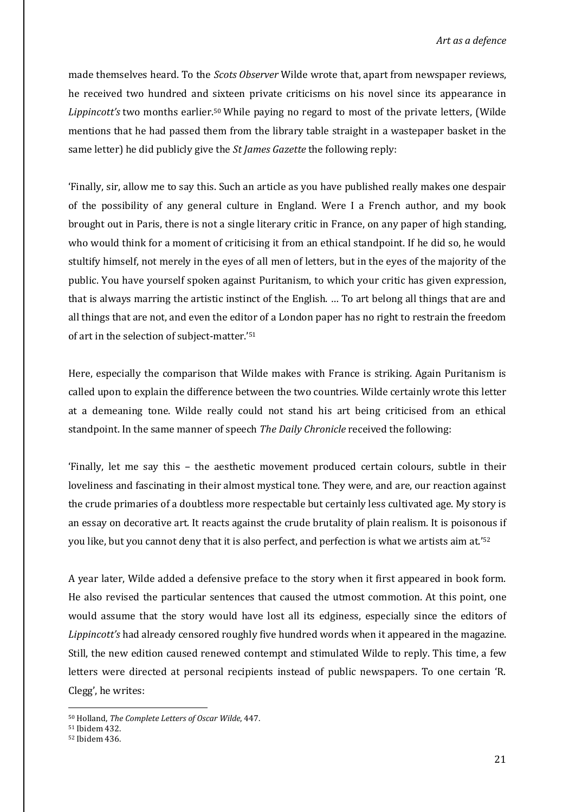made themselves heard. To the *Scots Observer* Wilde wrote that, apart from newspaper reviews, he received two hundred and sixteen private criticisms on his novel since its appearance in *Lippincott's* two months earlier.<sup>50</sup> While paying no regard to most of the private letters, (Wilde mentions that he had passed them from the library table straight in a wastepaper basket in the same letter) he did publicly give the *St James Gazette* the following reply:

'Finally, sir, allow me to say this. Such an article as you have published really makes one despair of the possibility of any general culture in England. Were I a French author, and my book brought out in Paris, there is not a single literary critic in France, on any paper of high standing, who would think for a moment of criticising it from an ethical standpoint. If he did so, he would stultify himself, not merely in the eyes of all men of letters, but in the eyes of the majority of the public. You have yourself spoken against Puritanism, to which your critic has given expression, that is always marring the artistic instinct of the English. … To art belong all things that are and all things that are not, and even the editor of a London paper has no right to restrain the freedom of art in the selection of subject-matter.'<sup>51</sup>

Here, especially the comparison that Wilde makes with France is striking. Again Puritanism is called upon to explain the difference between the two countries. Wilde certainly wrote this letter at a demeaning tone. Wilde really could not stand his art being criticised from an ethical standpoint. In the same manner of speech *The Daily Chronicle* received the following:

'Finally, let me say this – the aesthetic movement produced certain colours, subtle in their loveliness and fascinating in their almost mystical tone. They were, and are, our reaction against the crude primaries of a doubtless more respectable but certainly less cultivated age. My story is an essay on decorative art. It reacts against the crude brutality of plain realism. It is poisonous if you like, but you cannot deny that it is also perfect, and perfection is what we artists aim at.'<sup>52</sup>

A year later, Wilde added a defensive preface to the story when it first appeared in book form. He also revised the particular sentences that caused the utmost commotion. At this point, one would assume that the story would have lost all its edginess, especially since the editors of *Lippincott's* had already censored roughly five hundred words when it appeared in the magazine. Still, the new edition caused renewed contempt and stimulated Wilde to reply. This time, a few letters were directed at personal recipients instead of public newspapers. To one certain 'R. Clegg', he writes:

<sup>50</sup> Holland, *The Complete Letters of Oscar Wilde*, 447.

<sup>51</sup> Ibidem 432.

<sup>52</sup> Ibidem 436.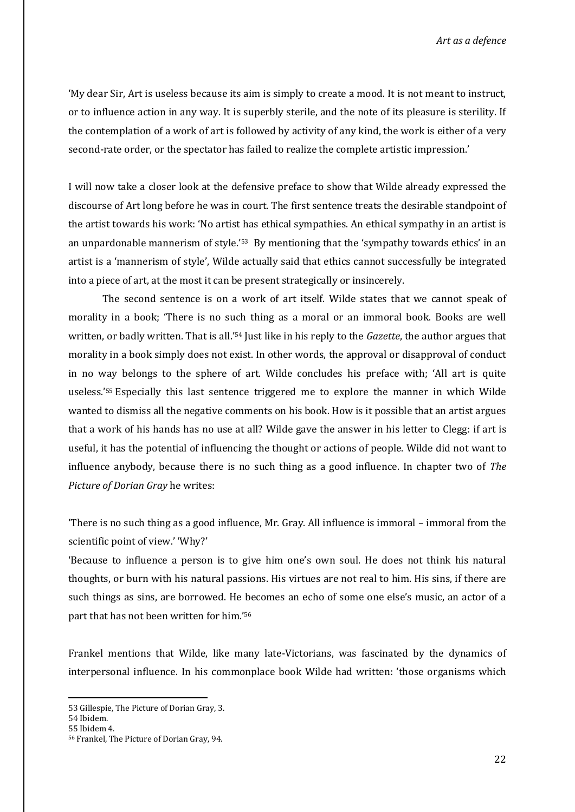'My dear Sir, Art is useless because its aim is simply to create a mood. It is not meant to instruct, or to influence action in any way. It is superbly sterile, and the note of its pleasure is sterility. If the contemplation of a work of art is followed by activity of any kind, the work is either of a very second-rate order, or the spectator has failed to realize the complete artistic impression.'

I will now take a closer look at the defensive preface to show that Wilde already expressed the discourse of Art long before he was in court. The first sentence treats the desirable standpoint of the artist towards his work: 'No artist has ethical sympathies. An ethical sympathy in an artist is an unpardonable mannerism of style.'<sup>53</sup> By mentioning that the 'sympathy towards ethics' in an artist is a 'mannerism of style', Wilde actually said that ethics cannot successfully be integrated into a piece of art, at the most it can be present strategically or insincerely.

The second sentence is on a work of art itself. Wilde states that we cannot speak of morality in a book; 'There is no such thing as a moral or an immoral book. Books are well written, or badly written. That is all.'<sup>54</sup> Just like in his reply to the *Gazette*, the author argues that morality in a book simply does not exist. In other words, the approval or disapproval of conduct in no way belongs to the sphere of art. Wilde concludes his preface with; 'All art is quite useless.'<sup>55</sup> Especially this last sentence triggered me to explore the manner in which Wilde wanted to dismiss all the negative comments on his book. How is it possible that an artist argues that a work of his hands has no use at all? Wilde gave the answer in his letter to Clegg: if art is useful, it has the potential of influencing the thought or actions of people. Wilde did not want to influence anybody, because there is no such thing as a good influence. In chapter two of *The Picture of Dorian Gray* he writes:

'There is no such thing as a good influence, Mr. Gray. All influence is immoral – immoral from the scientific point of view.' 'Why?'

'Because to influence a person is to give him one's own soul. He does not think his natural thoughts, or burn with his natural passions. His virtues are not real to him. His sins, if there are such things as sins, are borrowed. He becomes an echo of some one else's music, an actor of a part that has not been written for him.'<sup>56</sup>

Frankel mentions that Wilde, like many late-Victorians, was fascinated by the dynamics of interpersonal influence. In his commonplace book Wilde had written: 'those organisms which

<sup>53</sup> Gillespie, The Picture of Dorian Gray, 3.

<sup>54</sup> Ibidem.

<sup>55</sup> Ibidem 4.

<sup>56</sup> Frankel, The Picture of Dorian Gray, 94.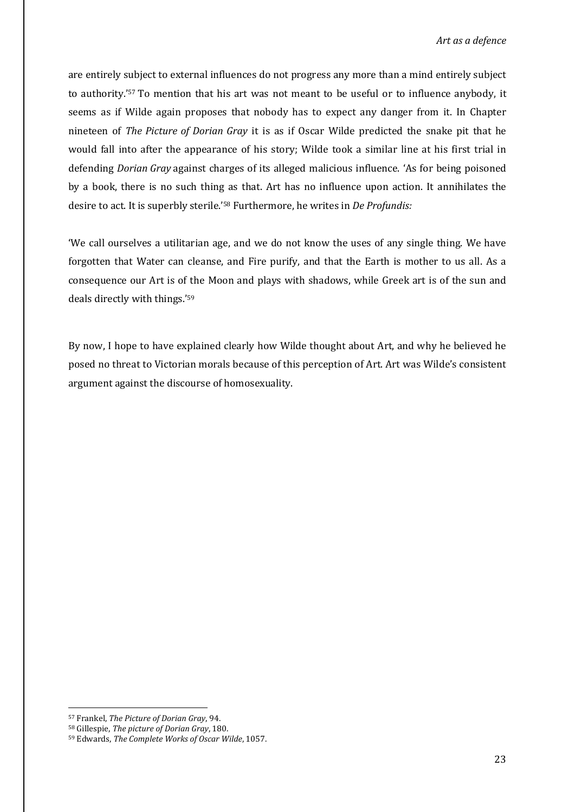are entirely subject to external influences do not progress any more than a mind entirely subject to authority.'<sup>57</sup> To mention that his art was not meant to be useful or to influence anybody, it seems as if Wilde again proposes that nobody has to expect any danger from it. In Chapter nineteen of *The Picture of Dorian Gray* it is as if Oscar Wilde predicted the snake pit that he would fall into after the appearance of his story; Wilde took a similar line at his first trial in defending *Dorian Gray* against charges of its alleged malicious influence. 'As for being poisoned by a book, there is no such thing as that. Art has no influence upon action. It annihilates the desire to act. It is superbly sterile.'<sup>58</sup> Furthermore, he writes in *De Profundis:* 

'We call ourselves a utilitarian age, and we do not know the uses of any single thing. We have forgotten that Water can cleanse, and Fire purify, and that the Earth is mother to us all. As a consequence our Art is of the Moon and plays with shadows, while Greek art is of the sun and deals directly with things.'<sup>59</sup>

By now, I hope to have explained clearly how Wilde thought about Art, and why he believed he posed no threat to Victorian morals because of this perception of Art. Art was Wilde's consistent argument against the discourse of homosexuality.

<sup>57</sup> Frankel, *The Picture of Dorian Gray*, 94.

<sup>58</sup> Gillespie, *The picture of Dorian Gray*, 180.

<sup>59</sup> Edwards, *The Complete Works of Oscar Wilde*, 1057.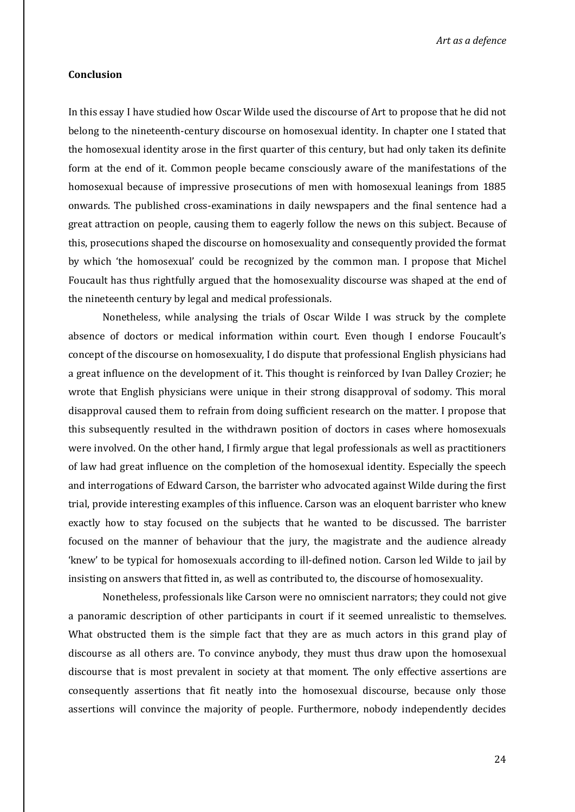*Art as a defence*

#### **Conclusion**

In this essay I have studied how Oscar Wilde used the discourse of Art to propose that he did not belong to the nineteenth-century discourse on homosexual identity. In chapter one I stated that the homosexual identity arose in the first quarter of this century, but had only taken its definite form at the end of it. Common people became consciously aware of the manifestations of the homosexual because of impressive prosecutions of men with homosexual leanings from 1885 onwards. The published cross-examinations in daily newspapers and the final sentence had a great attraction on people, causing them to eagerly follow the news on this subject. Because of this, prosecutions shaped the discourse on homosexuality and consequently provided the format by which 'the homosexual' could be recognized by the common man. I propose that Michel Foucault has thus rightfully argued that the homosexuality discourse was shaped at the end of the nineteenth century by legal and medical professionals.

Nonetheless, while analysing the trials of Oscar Wilde I was struck by the complete absence of doctors or medical information within court. Even though I endorse Foucault's concept of the discourse on homosexuality, I do dispute that professional English physicians had a great influence on the development of it. This thought is reinforced by Ivan Dalley Crozier; he wrote that English physicians were unique in their strong disapproval of sodomy. This moral disapproval caused them to refrain from doing sufficient research on the matter. I propose that this subsequently resulted in the withdrawn position of doctors in cases where homosexuals were involved. On the other hand, I firmly argue that legal professionals as well as practitioners of law had great influence on the completion of the homosexual identity. Especially the speech and interrogations of Edward Carson, the barrister who advocated against Wilde during the first trial, provide interesting examples of this influence. Carson was an eloquent barrister who knew exactly how to stay focused on the subjects that he wanted to be discussed. The barrister focused on the manner of behaviour that the jury, the magistrate and the audience already 'knew' to be typical for homosexuals according to ill-defined notion. Carson led Wilde to jail by insisting on answers that fitted in, as well as contributed to, the discourse of homosexuality.

Nonetheless, professionals like Carson were no omniscient narrators; they could not give a panoramic description of other participants in court if it seemed unrealistic to themselves. What obstructed them is the simple fact that they are as much actors in this grand play of discourse as all others are. To convince anybody, they must thus draw upon the homosexual discourse that is most prevalent in society at that moment. The only effective assertions are consequently assertions that fit neatly into the homosexual discourse, because only those assertions will convince the majority of people. Furthermore, nobody independently decides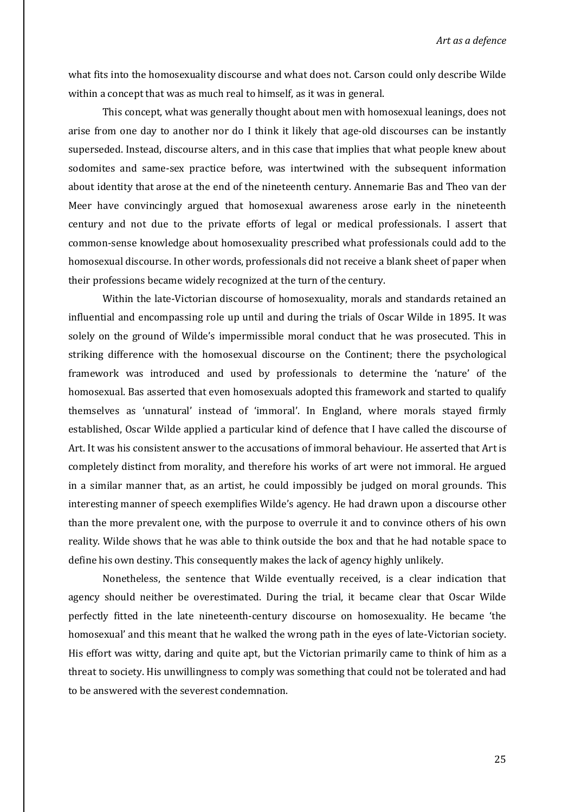what fits into the homosexuality discourse and what does not. Carson could only describe Wilde within a concept that was as much real to himself, as it was in general.

This concept, what was generally thought about men with homosexual leanings, does not arise from one day to another nor do I think it likely that age-old discourses can be instantly superseded. Instead, discourse alters, and in this case that implies that what people knew about sodomites and same-sex practice before, was intertwined with the subsequent information about identity that arose at the end of the nineteenth century. Annemarie Bas and Theo van der Meer have convincingly argued that homosexual awareness arose early in the nineteenth century and not due to the private efforts of legal or medical professionals. I assert that common-sense knowledge about homosexuality prescribed what professionals could add to the homosexual discourse. In other words, professionals did not receive a blank sheet of paper when their professions became widely recognized at the turn of the century.

Within the late-Victorian discourse of homosexuality, morals and standards retained an influential and encompassing role up until and during the trials of Oscar Wilde in 1895. It was solely on the ground of Wilde's impermissible moral conduct that he was prosecuted. This in striking difference with the homosexual discourse on the Continent; there the psychological framework was introduced and used by professionals to determine the 'nature' of the homosexual. Bas asserted that even homosexuals adopted this framework and started to qualify themselves as 'unnatural' instead of 'immoral'. In England, where morals stayed firmly established, Oscar Wilde applied a particular kind of defence that I have called the discourse of Art. It was his consistent answer to the accusations of immoral behaviour. He asserted that Art is completely distinct from morality, and therefore his works of art were not immoral. He argued in a similar manner that, as an artist, he could impossibly be judged on moral grounds. This interesting manner of speech exemplifies Wilde's agency. He had drawn upon a discourse other than the more prevalent one, with the purpose to overrule it and to convince others of his own reality. Wilde shows that he was able to think outside the box and that he had notable space to define his own destiny. This consequently makes the lack of agency highly unlikely.

Nonetheless, the sentence that Wilde eventually received, is a clear indication that agency should neither be overestimated. During the trial, it became clear that Oscar Wilde perfectly fitted in the late nineteenth-century discourse on homosexuality. He became 'the homosexual' and this meant that he walked the wrong path in the eyes of late-Victorian society. His effort was witty, daring and quite apt, but the Victorian primarily came to think of him as a threat to society. His unwillingness to comply was something that could not be tolerated and had to be answered with the severest condemnation.